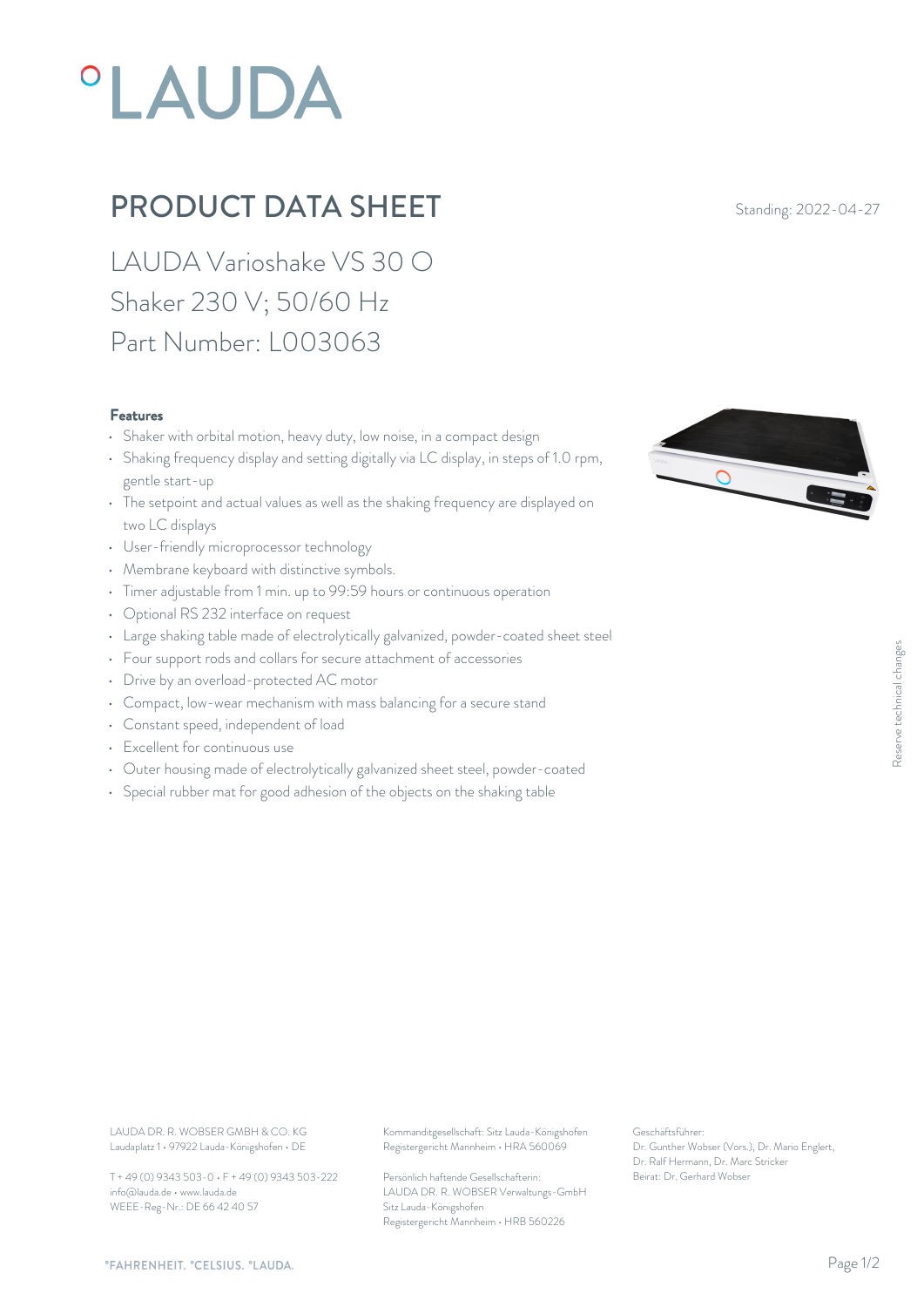## **°LAUDA**

## **PRODUCT DATA SHEET** Standing: 2022-04-27

LAUDA Varioshake VS 30 O Shaker 230 V; 50/60 Hz Part Number: L003063

## Features

- Shaker with orbital motion, heavy duty, low noise, in a compact design
- Shaking frequency display and setting digitally via LC display, in steps of 1.0 rpm, gentle start-up
- The setpoint and actual values as well as the shaking frequency are displayed on two LC displays
- User-friendly microprocessor technology
- Membrane keyboard with distinctive symbols.
- Timer adjustable from 1 min. up to 99:59 hours or continuous operation
- Optional RS 232 interface on request
- Large shaking table made of electrolytically galvanized, powder-coated sheet steel
- Four support rods and collars for secure attachment of accessories
- Drive by an overload-protected AC motor
- Compact, low-wear mechanism with mass balancing for a secure stand
- Constant speed, independent of load
- Excellent for continuous use
- Outer housing made of electrolytically galvanized sheet steel, powder-coated
- Special rubber mat for good adhesion of the objects on the shaking table



Laudaplatz 1 • 97922 Lauda-Königshofen • DE

T + 49 (0) 9343 503-0 • F + 49 (0) 9343 503-222 info@lauda.de • www.lauda.de WEEE-Reg-Nr.: DE 66 42 40 57

LAUDA DR. R. WOBSER GMBH & CO. KG Kommanditgesellschaft: Sitz Lauda-Königshofen Geschäftsführer: Registergericht Mannheim • HRA 560069

> Persönlich haftende Gesellschafterin: Beirat: Dr. Gerhard Wobse LAUDA DR. R. WOBSER Verwaltungs-GmbH Sitz Lauda-Königshofen Registergericht Mannheim • HRB 560226

Geschäftsführer: Dr. Gunther Wobser (Vors.), Dr. Mario Englert, Dr. Ralf Hermann, Dr. Marc Stricker Beschäftsführer:<br>Dr. Gunther Wobser (Vors.), Dr. Mario Englert,<br>Dr. Ralf Hermann, Dr. Marc Stricker<br>Beirat: Dr. Gerhard Wobser

*"FAHRENHEIT. "CELSIUS. "LAUDA.*